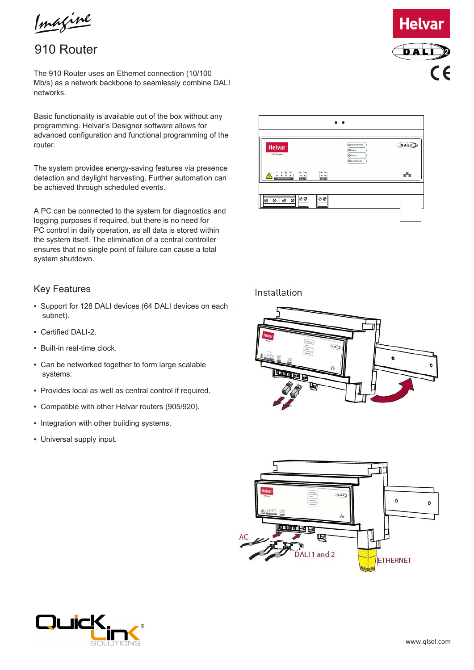Imagine

## 910 Router

The 910 Router uses an Ethernet connection (10/100 Mb/s) as a network backbone to seamlessly combine DALI networks.

Basic functionality is available out of the box without any programming. Helvar's Designer software allows for advanced configuration and functional programming of the router.

The system provides energy-saving features via presence detection and daylight harvesting. Further automation can be achieved through scheduled events.

A PC can be connected to the system for diagnostics and logging purposes if required, but there is no need for PC control in daily operation, as all data is stored within the system itself. The elimination of a central controller ensures that no single point of failure can cause a total system shutdown.

#### Key Features

- *•* Support for 128 DALI devices (64 DALI devices on each subnet).
- Certified DALI-2.
- *•* Built-in real-time clock.
- *•* Can be networked together to form large scalable systems.
- *•* Provides local as well as central control if required.
- *•* Compatible with other Helvar routers (905/920).
- *•* Integration with other building systems.
- *•* Universal supply input.

# $\bullet$ **DALI** 볾

### Installation

Helvar

 $\begin{array}{c|c}\n\text{L} & \text{N} & \textcircled{b} & \text{SC} \\
\hline\n\bullet & \bullet & \bullet & \bullet \\
\end{array}$ 

0000

00

00